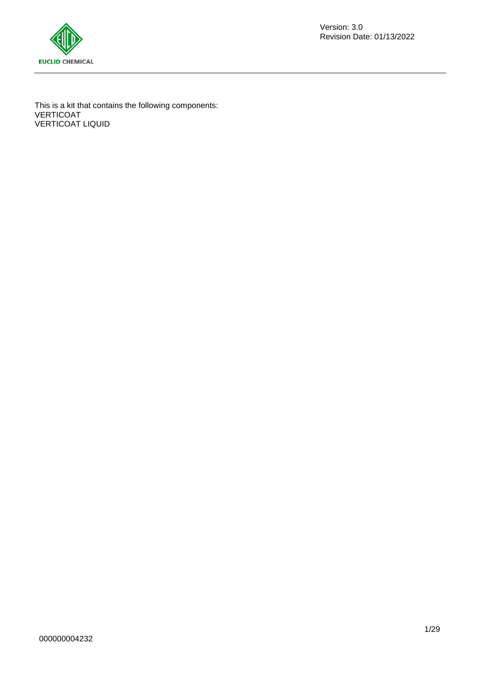

This is a kit that contains the following components: VERTICOAT VERTICOAT LIQUID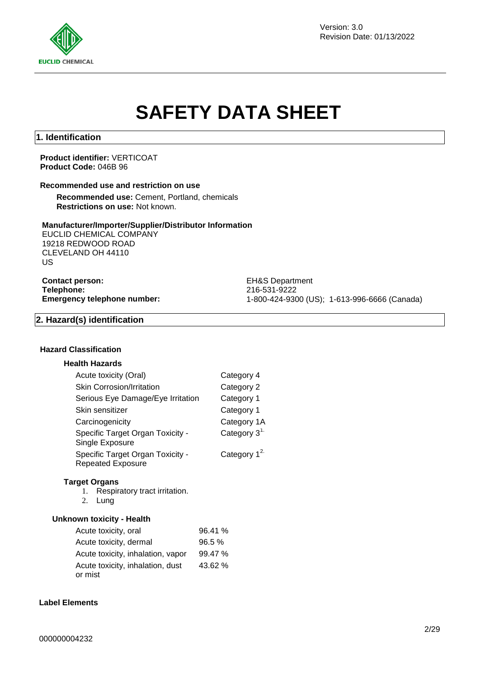

Version: 3.0 Revision Date: 01/13/2022

# **SAFETY DATA SHEET**

# **1. Identification**

**Product identifier:** VERTICOAT **Product Code:** 046B 96

#### **Recommended use and restriction on use**

**Recommended use:** Cement, Portland, chemicals **Restrictions on use:** Not known.

#### **Manufacturer/Importer/Supplier/Distributor Information**

EUCLID CHEMICAL COMPANY 19218 REDWOOD ROAD CLEVELAND OH 44110 US

**Contact person:** EH&S Department **Telephone:** 216-531-9222<br> **Emergency telephone number:** 216-531-9222<br>
21-800-424-930

**Emergency telephone number:** 1-800-424-9300 (US); 1-613-996-6666 (Canada)

#### **2. Hazard(s) identification**

### **Hazard Classification**

## **Health Hazards**

| Acute toxicity (Oral)                                        | Category 4     |
|--------------------------------------------------------------|----------------|
| <b>Skin Corrosion/Irritation</b>                             | Category 2     |
| Serious Eye Damage/Eye Irritation                            | Category 1     |
| Skin sensitizer                                              | Category 1     |
| Carcinogenicity                                              | Category 1A    |
| Specific Target Organ Toxicity -<br>Single Exposure          | Category $31$  |
| Specific Target Organ Toxicity -<br><b>Repeated Exposure</b> | Category $1^2$ |

#### **Target Organs**

1. Respiratory tract irritation.

2. Lung

#### **Unknown toxicity - Health**

| Acute toxicity, oral                        | 96.41 % |
|---------------------------------------------|---------|
| Acute toxicity, dermal                      | 96.5%   |
| Acute toxicity, inhalation, vapor           | 99.47 % |
| Acute toxicity, inhalation, dust<br>or mist | 43.62 % |

### **Label Elements**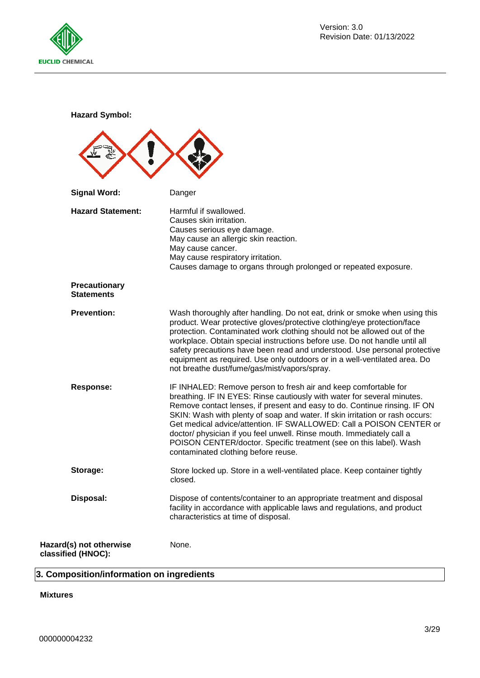

**Hazard Symbol:**

| <b>Signal Word:</b>                           | Danger                                                                                                                                                                                                                                                                                                                                                                                                                                                                                                                                                               |
|-----------------------------------------------|----------------------------------------------------------------------------------------------------------------------------------------------------------------------------------------------------------------------------------------------------------------------------------------------------------------------------------------------------------------------------------------------------------------------------------------------------------------------------------------------------------------------------------------------------------------------|
| <b>Hazard Statement:</b>                      | Harmful if swallowed.<br>Causes skin irritation.<br>Causes serious eye damage.<br>May cause an allergic skin reaction.<br>May cause cancer.<br>May cause respiratory irritation.<br>Causes damage to organs through prolonged or repeated exposure.                                                                                                                                                                                                                                                                                                                  |
| <b>Precautionary</b><br><b>Statements</b>     |                                                                                                                                                                                                                                                                                                                                                                                                                                                                                                                                                                      |
| <b>Prevention:</b>                            | Wash thoroughly after handling. Do not eat, drink or smoke when using this<br>product. Wear protective gloves/protective clothing/eye protection/face<br>protection. Contaminated work clothing should not be allowed out of the<br>workplace. Obtain special instructions before use. Do not handle until all<br>safety precautions have been read and understood. Use personal protective<br>equipment as required. Use only outdoors or in a well-ventilated area. Do<br>not breathe dust/fume/gas/mist/vapors/spray.                                             |
| <b>Response:</b>                              | IF INHALED: Remove person to fresh air and keep comfortable for<br>breathing. IF IN EYES: Rinse cautiously with water for several minutes.<br>Remove contact lenses, if present and easy to do. Continue rinsing. IF ON<br>SKIN: Wash with plenty of soap and water. If skin irritation or rash occurs:<br>Get medical advice/attention. IF SWALLOWED: Call a POISON CENTER or<br>doctor/ physician if you feel unwell. Rinse mouth. Immediately call a<br>POISON CENTER/doctor. Specific treatment (see on this label). Wash<br>contaminated clothing before reuse. |
| Storage:                                      | Store locked up. Store in a well-ventilated place. Keep container tightly<br>closed.                                                                                                                                                                                                                                                                                                                                                                                                                                                                                 |
| Disposal:                                     | Dispose of contents/container to an appropriate treatment and disposal<br>facility in accordance with applicable laws and regulations, and product<br>characteristics at time of disposal.                                                                                                                                                                                                                                                                                                                                                                           |
| Hazard(s) not otherwise<br>classified (HNOC): | None.                                                                                                                                                                                                                                                                                                                                                                                                                                                                                                                                                                |

# **3. Composition/information on ingredients**

# **Mixtures**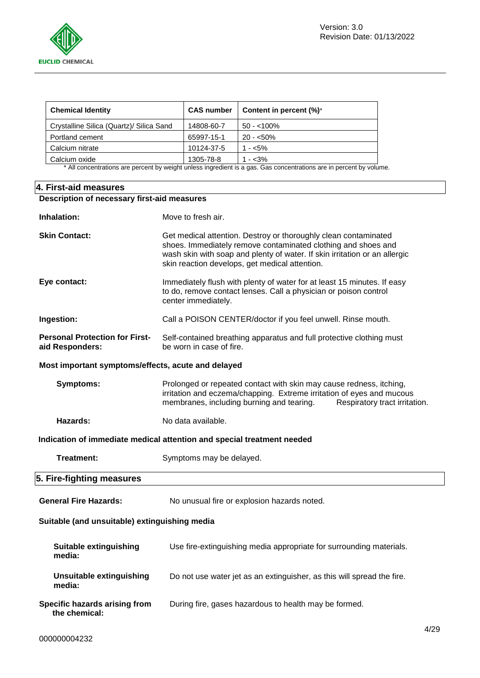

| <b>Chemical Identity</b>                                                                                            | <b>CAS number</b> | Content in percent (%)* |  |
|---------------------------------------------------------------------------------------------------------------------|-------------------|-------------------------|--|
| Crystalline Silica (Quartz)/ Silica Sand                                                                            | 14808-60-7        | $50 - 100\%$            |  |
| Portland cement                                                                                                     | 65997-15-1        | $20 - 50\%$             |  |
| Calcium nitrate                                                                                                     | 10124-37-5        | $1 - 5\%$               |  |
| Calcium oxide                                                                                                       | 1305-78-8         | $1 - 3\%$               |  |
| * All concentrations are percent by weight unless ingredient is a gas. Gas concentrations are in percent by volume. |                   |                         |  |

## **4. First-aid measures**

| Description of necessary first-aid measures              |                                                                                                                                                                                                                                                                  |  |  |
|----------------------------------------------------------|------------------------------------------------------------------------------------------------------------------------------------------------------------------------------------------------------------------------------------------------------------------|--|--|
| Inhalation:                                              | Move to fresh air.                                                                                                                                                                                                                                               |  |  |
| <b>Skin Contact:</b>                                     | Get medical attention. Destroy or thoroughly clean contaminated<br>shoes. Immediately remove contaminated clothing and shoes and<br>wash skin with soap and plenty of water. If skin irritation or an allergic<br>skin reaction develops, get medical attention. |  |  |
| Eye contact:                                             | Immediately flush with plenty of water for at least 15 minutes. If easy<br>to do, remove contact lenses. Call a physician or poison control<br>center immediately.                                                                                               |  |  |
| Ingestion:                                               | Call a POISON CENTER/doctor if you feel unwell. Rinse mouth.                                                                                                                                                                                                     |  |  |
| <b>Personal Protection for First-</b><br>aid Responders: | Self-contained breathing apparatus and full protective clothing must<br>be worn in case of fire.                                                                                                                                                                 |  |  |
| Most important symptoms/effects, acute and delayed       |                                                                                                                                                                                                                                                                  |  |  |
| <b>Symptoms:</b>                                         | Prolonged or repeated contact with skin may cause redness, itching,<br>irritation and eczema/chapping. Extreme irritation of eyes and mucous<br>membranes, including burning and tearing.<br>Respiratory tract irritation.                                       |  |  |
| Hazards:                                                 | No data available.                                                                                                                                                                                                                                               |  |  |
|                                                          | Indication of immediate medical attention and special treatment needed                                                                                                                                                                                           |  |  |
| Treatment:                                               | Symptoms may be delayed.                                                                                                                                                                                                                                         |  |  |
| 5. Fire-fighting measures                                |                                                                                                                                                                                                                                                                  |  |  |
| <b>General Fire Hazards:</b>                             | No unusual fire or explosion hazards noted.                                                                                                                                                                                                                      |  |  |
| Suitable (and unsuitable) extinguishing media            |                                                                                                                                                                                                                                                                  |  |  |
| Suitable extinguishing<br>media:                         | Use fire-extinguishing media appropriate for surrounding materials.                                                                                                                                                                                              |  |  |
| Unsuitable extinguishing<br>media:                       | Do not use water jet as an extinguisher, as this will spread the fire.                                                                                                                                                                                           |  |  |
| Specific hazards arising from<br>the chemical:           | During fire, gases hazardous to health may be formed.                                                                                                                                                                                                            |  |  |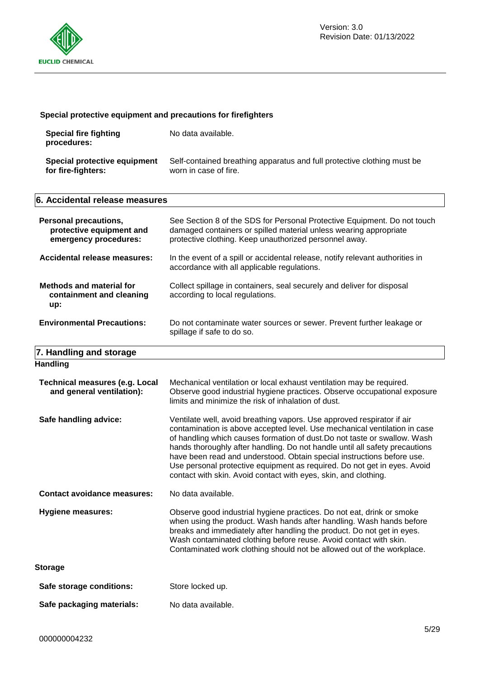

# **Special protective equipment and precautions for firefighters**

| Special fire fighting<br>procedures: | No data available.                                                      |
|--------------------------------------|-------------------------------------------------------------------------|
| Special protective equipment         | Self-contained breathing apparatus and full protective clothing must be |
| for fire-fighters:                   | worn in case of fire.                                                   |

| 6. Accidental release measures                                                    |                                                                                                                                                                                                         |
|-----------------------------------------------------------------------------------|---------------------------------------------------------------------------------------------------------------------------------------------------------------------------------------------------------|
| <b>Personal precautions,</b><br>protective equipment and<br>emergency procedures: | See Section 8 of the SDS for Personal Protective Equipment. Do not touch<br>damaged containers or spilled material unless wearing appropriate<br>protective clothing. Keep unauthorized personnel away. |
| Accidental release measures:                                                      | In the event of a spill or accidental release, notify relevant authorities in<br>accordance with all applicable regulations.                                                                            |
| <b>Methods and material for</b><br>containment and cleaning<br>up:                | Collect spillage in containers, seal securely and deliver for disposal<br>according to local regulations.                                                                                               |
| <b>Environmental Precautions:</b>                                                 | Do not contaminate water sources or sewer. Prevent further leakage or<br>spillage if safe to do so.                                                                                                     |
| 7. Handling and storage                                                           |                                                                                                                                                                                                         |
| <b>Handling</b>                                                                   |                                                                                                                                                                                                         |

| <b>Technical measures (e.g. Local</b><br>and general ventilation): | Mechanical ventilation or local exhaust ventilation may be required.<br>Observe good industrial hygiene practices. Observe occupational exposure<br>limits and minimize the risk of inhalation of dust.                                                                                                                                                                                                                                                                                                                                  |  |
|--------------------------------------------------------------------|------------------------------------------------------------------------------------------------------------------------------------------------------------------------------------------------------------------------------------------------------------------------------------------------------------------------------------------------------------------------------------------------------------------------------------------------------------------------------------------------------------------------------------------|--|
| Safe handling advice:                                              | Ventilate well, avoid breathing vapors. Use approved respirator if air<br>contamination is above accepted level. Use mechanical ventilation in case<br>of handling which causes formation of dust. Do not taste or swallow. Wash<br>hands thoroughly after handling. Do not handle until all safety precautions<br>have been read and understood. Obtain special instructions before use.<br>Use personal protective equipment as required. Do not get in eyes. Avoid<br>contact with skin. Avoid contact with eyes, skin, and clothing. |  |
| <b>Contact avoidance measures:</b>                                 | No data available.                                                                                                                                                                                                                                                                                                                                                                                                                                                                                                                       |  |
| <b>Hygiene measures:</b>                                           | Observe good industrial hygiene practices. Do not eat, drink or smoke<br>when using the product. Wash hands after handling. Wash hands before<br>breaks and immediately after handling the product. Do not get in eyes.<br>Wash contaminated clothing before reuse. Avoid contact with skin.<br>Contaminated work clothing should not be allowed out of the workplace.                                                                                                                                                                   |  |
| <b>Storage</b>                                                     |                                                                                                                                                                                                                                                                                                                                                                                                                                                                                                                                          |  |
| Safe storage conditions:                                           | Store locked up.                                                                                                                                                                                                                                                                                                                                                                                                                                                                                                                         |  |
| Safe packaging materials:                                          | No data available.                                                                                                                                                                                                                                                                                                                                                                                                                                                                                                                       |  |
|                                                                    |                                                                                                                                                                                                                                                                                                                                                                                                                                                                                                                                          |  |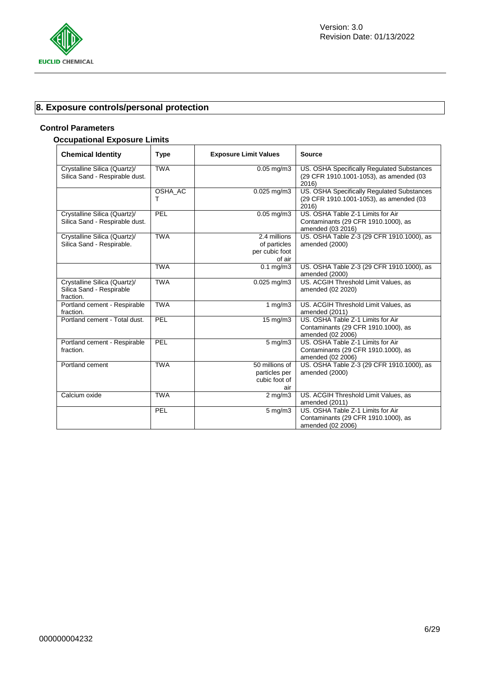

# **8. Exposure controls/personal protection**

## **Control Parameters**

# **Occupational Exposure Limits**

| <b>Chemical Identity</b>                                              | <b>Type</b>  | <b>Exposure Limit Values</b>                             | <b>Source</b>                                                                                  |
|-----------------------------------------------------------------------|--------------|----------------------------------------------------------|------------------------------------------------------------------------------------------------|
| Crystalline Silica (Quartz)/<br>Silica Sand - Respirable dust.        | <b>TWA</b>   | $0.05$ mg/m $3$                                          | US. OSHA Specifically Regulated Substances<br>(29 CFR 1910.1001-1053), as amended (03<br>2016) |
|                                                                       | OSHA_AC<br>т | $0.025$ mg/m $3$                                         | US. OSHA Specifically Regulated Substances<br>(29 CFR 1910.1001-1053), as amended (03<br>2016) |
| Crystalline Silica (Quartz)/<br>Silica Sand - Respirable dust.        | PEL          | $0.05 \text{ mg/m}$ 3                                    | US. OSHA Table Z-1 Limits for Air<br>Contaminants (29 CFR 1910.1000), as<br>amended (03 2016)  |
| Crystalline Silica (Quartz)/<br>Silica Sand - Respirable.             | <b>TWA</b>   | 2.4 millions<br>of particles<br>per cubic foot<br>of air | US. OSHA Table Z-3 (29 CFR 1910.1000), as<br>amended (2000)                                    |
|                                                                       | <b>TWA</b>   | $0.1$ mg/m $3$                                           | US. OSHA Table Z-3 (29 CFR 1910.1000), as<br>amended (2000)                                    |
| Crystalline Silica (Quartz)/<br>Silica Sand - Respirable<br>fraction. | <b>TWA</b>   | $0.025$ mg/m3                                            | US. ACGIH Threshold Limit Values, as<br>amended (02 2020)                                      |
| Portland cement - Respirable<br>fraction.                             | <b>TWA</b>   | 1 mg/m3                                                  | US. ACGIH Threshold Limit Values, as<br>amended (2011)                                         |
| Portland cement - Total dust.                                         | PEL          | $15 \text{ mg/m}$                                        | US. OSHA Table Z-1 Limits for Air<br>Contaminants (29 CFR 1910.1000), as<br>amended (02 2006)  |
| Portland cement - Respirable<br>fraction.                             | PEL          | $5 \overline{\mathrm{mg}}$ m3                            | US. OSHA Table Z-1 Limits for Air<br>Contaminants (29 CFR 1910.1000), as<br>amended (02 2006)  |
| Portland cement                                                       | <b>TWA</b>   | 50 millions of<br>particles per<br>cubic foot of<br>air  | US. OSHA Table Z-3 (29 CFR 1910.1000), as<br>amended (2000)                                    |
| Calcium oxide                                                         | <b>TWA</b>   | $\overline{2}$ mg/m3                                     | US. ACGIH Threshold Limit Values, as<br>amended (2011)                                         |
|                                                                       | PEL          | $\overline{5}$ mg/m3                                     | US. OSHA Table Z-1 Limits for Air<br>Contaminants (29 CFR 1910.1000), as<br>amended (02 2006)  |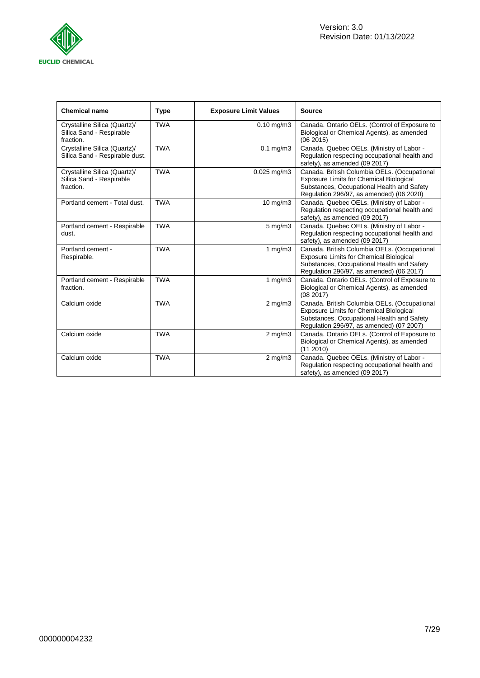

| <b>Chemical name</b>                                                  | <b>Type</b> | <b>Exposure Limit Values</b> | <b>Source</b>                                                                                                                                                                     |
|-----------------------------------------------------------------------|-------------|------------------------------|-----------------------------------------------------------------------------------------------------------------------------------------------------------------------------------|
| Crystalline Silica (Quartz)/<br>Silica Sand - Respirable<br>fraction. | <b>TWA</b>  | $0.10$ mg/m $3$              | Canada. Ontario OELs. (Control of Exposure to<br>Biological or Chemical Agents), as amended<br>(062015)                                                                           |
| Crystalline Silica (Quartz)/<br>Silica Sand - Respirable dust.        | <b>TWA</b>  | $0.1$ mg/m $3$               | Canada. Quebec OELs. (Ministry of Labor -<br>Regulation respecting occupational health and<br>safety), as amended (09 2017)                                                       |
| Crystalline Silica (Quartz)/<br>Silica Sand - Respirable<br>fraction. | <b>TWA</b>  | $0.025$ mg/m3                | Canada. British Columbia OELs. (Occupational<br>Exposure Limits for Chemical Biological<br>Substances, Occupational Health and Safety<br>Regulation 296/97, as amended) (06 2020) |
| Portland cement - Total dust.                                         | <b>TWA</b>  | $10 \text{ mg/m}$            | Canada. Quebec OELs. (Ministry of Labor -<br>Regulation respecting occupational health and<br>safety), as amended (09 2017)                                                       |
| Portland cement - Respirable<br>dust.                                 | <b>TWA</b>  | $5$ mg/m $3$                 | Canada. Quebec OELs. (Ministry of Labor -<br>Regulation respecting occupational health and<br>safety), as amended (09 2017)                                                       |
| Portland cement -<br>Respirable.                                      | <b>TWA</b>  | 1 $mg/m3$                    | Canada. British Columbia OELs. (Occupational<br>Exposure Limits for Chemical Biological<br>Substances, Occupational Health and Safety<br>Regulation 296/97, as amended) (06 2017) |
| Portland cement - Respirable<br>fraction.                             | <b>TWA</b>  | 1 $mg/m3$                    | Canada. Ontario OELs. (Control of Exposure to<br>Biological or Chemical Agents), as amended<br>(08 2017)                                                                          |
| Calcium oxide                                                         | <b>TWA</b>  | $2$ mg/m $3$                 | Canada. British Columbia OELs. (Occupational<br>Exposure Limits for Chemical Biological<br>Substances, Occupational Health and Safety<br>Regulation 296/97, as amended) (07 2007) |
| Calcium oxide                                                         | <b>TWA</b>  | $2$ mg/m $3$                 | Canada. Ontario OELs. (Control of Exposure to<br>Biological or Chemical Agents), as amended<br>(11 2010)                                                                          |
| Calcium oxide                                                         | <b>TWA</b>  | $2$ mg/m $3$                 | Canada. Quebec OELs. (Ministry of Labor -<br>Regulation respecting occupational health and<br>safety), as amended (09 2017)                                                       |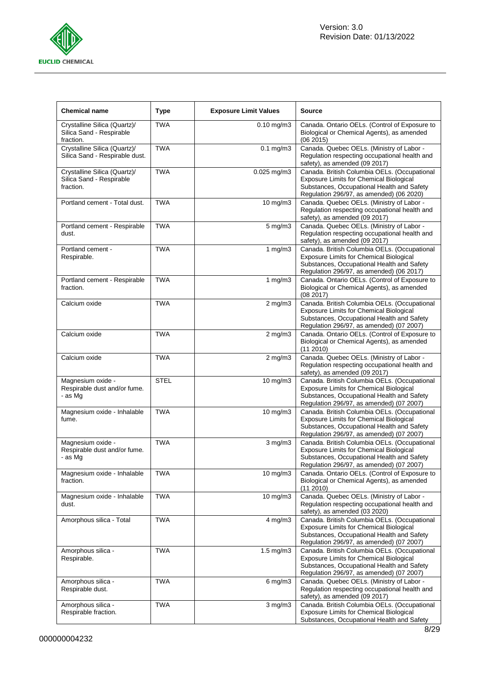

| <b>Chemical name</b>                                                  | <b>Type</b> | <b>Exposure Limit Values</b> | <b>Source</b>                                                                                                                                                                            |
|-----------------------------------------------------------------------|-------------|------------------------------|------------------------------------------------------------------------------------------------------------------------------------------------------------------------------------------|
| Crystalline Silica (Quartz)/<br>Silica Sand - Respirable<br>fraction. | <b>TWA</b>  | $0.10$ mg/m $3$              | Canada. Ontario OELs. (Control of Exposure to<br>Biological or Chemical Agents), as amended<br>(062015)                                                                                  |
| Crystalline Silica (Quartz)/<br>Silica Sand - Respirable dust.        | <b>TWA</b>  | $0.1$ mg/m $3$               | Canada. Quebec OELs. (Ministry of Labor -<br>Regulation respecting occupational health and<br>safety), as amended (09 2017)                                                              |
| Crystalline Silica (Quartz)/<br>Silica Sand - Respirable<br>fraction. | <b>TWA</b>  | $0.025$ mg/m $3$             | Canada. British Columbia OELs. (Occupational<br><b>Exposure Limits for Chemical Biological</b><br>Substances, Occupational Health and Safety<br>Regulation 296/97, as amended) (06 2020) |
| Portland cement - Total dust.                                         | <b>TWA</b>  | 10 mg/m3                     | Canada. Quebec OELs. (Ministry of Labor -<br>Regulation respecting occupational health and<br>safety), as amended (09 2017)                                                              |
| Portland cement - Respirable<br>dust.                                 | <b>TWA</b>  | $5$ mg/m $3$                 | Canada. Quebec OELs. (Ministry of Labor -<br>Regulation respecting occupational health and<br>safety), as amended (09 2017)                                                              |
| Portland cement -<br>Respirable.                                      | <b>TWA</b>  | 1 $mg/m3$                    | Canada. British Columbia OELs. (Occupational<br><b>Exposure Limits for Chemical Biological</b><br>Substances, Occupational Health and Safety<br>Regulation 296/97, as amended) (06 2017) |
| Portland cement - Respirable<br>fraction.                             | <b>TWA</b>  | 1 $mg/m3$                    | Canada. Ontario OELs. (Control of Exposure to<br>Biological or Chemical Agents), as amended<br>(08 2017)                                                                                 |
| Calcium oxide                                                         | <b>TWA</b>  | $2$ mg/m $3$                 | Canada. British Columbia OELs. (Occupational<br><b>Exposure Limits for Chemical Biological</b><br>Substances, Occupational Health and Safety<br>Regulation 296/97, as amended) (07 2007) |
| Calcium oxide                                                         | <b>TWA</b>  | $2$ mg/m $3$                 | Canada. Ontario OELs. (Control of Exposure to<br>Biological or Chemical Agents), as amended<br>(11 2010)                                                                                 |
| Calcium oxide                                                         | <b>TWA</b>  | $2$ mg/m $3$                 | Canada. Quebec OELs. (Ministry of Labor -<br>Regulation respecting occupational health and<br>safety), as amended (09 2017)                                                              |
| Magnesium oxide -<br>Respirable dust and/or fume.<br>- as Mq          | <b>STEL</b> | 10 mg/m3                     | Canada. British Columbia OELs. (Occupational<br><b>Exposure Limits for Chemical Biological</b><br>Substances, Occupational Health and Safety<br>Regulation 296/97, as amended) (07 2007) |
| Magnesium oxide - Inhalable<br>fume.                                  | <b>TWA</b>  | 10 mg/m3                     | Canada. British Columbia OELs. (Occupational<br>Exposure Limits for Chemical Biological<br>Substances, Occupational Health and Safety<br>Regulation 296/97, as amended) (07 2007)        |
| Magnesium oxide -<br>Respirable dust and/or fume.<br>- as Mg          | <b>TWA</b>  | $3$ mg/m $3$                 | Canada. British Columbia OELs. (Occupational<br>Exposure Limits for Chemical Biological<br>Substances, Occupational Health and Safety<br>Regulation 296/97, as amended) (07 2007)        |
| Magnesium oxide - Inhalable<br>fraction.                              | <b>TWA</b>  | 10 mg/m3                     | Canada. Ontario OELs. (Control of Exposure to<br>Biological or Chemical Agents), as amended<br>(112010)                                                                                  |
| Magnesium oxide - Inhalable<br>dust.                                  | <b>TWA</b>  | 10 mg/m3                     | Canada. Quebec OELs. (Ministry of Labor -<br>Regulation respecting occupational health and<br>safety), as amended (03 2020)                                                              |
| Amorphous silica - Total                                              | <b>TWA</b>  | 4 mg/m3                      | Canada. British Columbia OELs. (Occupational<br><b>Exposure Limits for Chemical Biological</b><br>Substances, Occupational Health and Safety<br>Regulation 296/97, as amended) (07 2007) |
| Amorphous silica -<br>Respirable.                                     | <b>TWA</b>  | $\overline{1.5}$ mg/m3       | Canada. British Columbia OELs. (Occupational<br><b>Exposure Limits for Chemical Biological</b><br>Substances, Occupational Health and Safety<br>Regulation 296/97, as amended) (07 2007) |
| Amorphous silica -<br>Respirable dust.                                | <b>TWA</b>  | $6$ mg/m $3$                 | Canada. Quebec OELs. (Ministry of Labor -<br>Regulation respecting occupational health and<br>safety), as amended (09 2017)                                                              |
| Amorphous silica -<br>Respirable fraction.                            | <b>TWA</b>  | $3$ mg/m $3$                 | Canada. British Columbia OELs. (Occupational<br><b>Exposure Limits for Chemical Biological</b><br>Substances, Occupational Health and Safety                                             |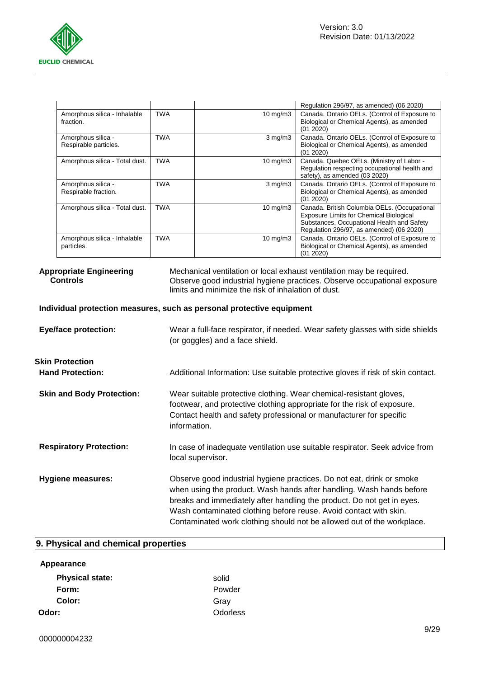

|                                             |            |                   | Regulation 296/97, as amended) (06 2020)                                                                                                                                                 |
|---------------------------------------------|------------|-------------------|------------------------------------------------------------------------------------------------------------------------------------------------------------------------------------------|
| Amorphous silica - Inhalable<br>fraction.   | <b>TWA</b> | $10 \text{ mg/m}$ | Canada. Ontario OELs. (Control of Exposure to<br>Biological or Chemical Agents), as amended<br>(01 2020)                                                                                 |
| Amorphous silica -<br>Respirable particles. | TWA        | $3 \text{ mg/m}$  | Canada. Ontario OELs. (Control of Exposure to<br>Biological or Chemical Agents), as amended<br>(01 2020)                                                                                 |
| Amorphous silica - Total dust.              | <b>TWA</b> | $10 \text{ mg/m}$ | Canada. Quebec OELs. (Ministry of Labor -<br>Regulation respecting occupational health and<br>safety), as amended (03 2020)                                                              |
| Amorphous silica -<br>Respirable fraction.  | <b>TWA</b> | $3 \text{ mg/m}$  | Canada. Ontario OELs. (Control of Exposure to<br>Biological or Chemical Agents), as amended<br>(01 2020)                                                                                 |
| Amorphous silica - Total dust.              | TWA        | 10 mg/m $3$       | Canada. British Columbia OELs. (Occupational<br><b>Exposure Limits for Chemical Biological</b><br>Substances, Occupational Health and Safety<br>Regulation 296/97, as amended) (06 2020) |
| Amorphous silica - Inhalable<br>particles.  | <b>TWA</b> | $10 \text{ mg/m}$ | Canada. Ontario OELs. (Control of Exposure to<br>Biological or Chemical Agents), as amended<br>(01 2020)                                                                                 |

|                 | <b>Appropriate Engineering</b> |
|-----------------|--------------------------------|
| <b>Controls</b> |                                |

Mechanical ventilation or local exhaust ventilation may be required. Observe good industrial hygiene practices. Observe occupational exposure limits and minimize the risk of inhalation of dust.

## **Individual protection measures, such as personal protective equipment**

| <b>Eye/face protection:</b>                       | Wear a full-face respirator, if needed. Wear safety glasses with side shields<br>(or goggles) and a face shield.                                                                                                                                                                                                                                                       |
|---------------------------------------------------|------------------------------------------------------------------------------------------------------------------------------------------------------------------------------------------------------------------------------------------------------------------------------------------------------------------------------------------------------------------------|
| <b>Skin Protection</b><br><b>Hand Protection:</b> | Additional Information: Use suitable protective gloves if risk of skin contact.                                                                                                                                                                                                                                                                                        |
| <b>Skin and Body Protection:</b>                  | Wear suitable protective clothing. Wear chemical-resistant gloves,<br>footwear, and protective clothing appropriate for the risk of exposure.<br>Contact health and safety professional or manufacturer for specific<br>information.                                                                                                                                   |
| <b>Respiratory Protection:</b>                    | In case of inadequate ventilation use suitable respirator. Seek advice from<br>local supervisor.                                                                                                                                                                                                                                                                       |
| <b>Hygiene measures:</b>                          | Observe good industrial hygiene practices. Do not eat, drink or smoke<br>when using the product. Wash hands after handling. Wash hands before<br>breaks and immediately after handling the product. Do not get in eyes.<br>Wash contaminated clothing before reuse. Avoid contact with skin.<br>Contaminated work clothing should not be allowed out of the workplace. |

# **9. Physical and chemical properties**

| Appearance             |                 |
|------------------------|-----------------|
| <b>Physical state:</b> | solid           |
| Form:                  | Powder          |
| Color:                 | Gray            |
| Odor:                  | <b>Odorless</b> |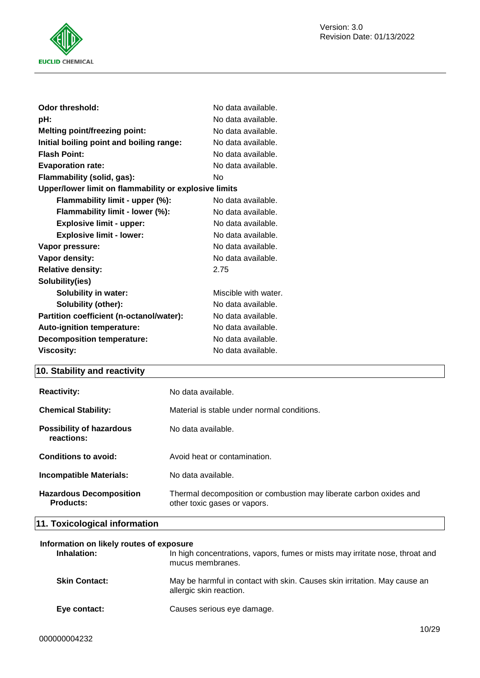

| Odor threshold:                                       | No data available.   |
|-------------------------------------------------------|----------------------|
| pH:                                                   | No data available.   |
| <b>Melting point/freezing point:</b>                  | No data available.   |
| Initial boiling point and boiling range:              | No data available.   |
| <b>Flash Point:</b>                                   | No data available.   |
| <b>Evaporation rate:</b>                              | No data available.   |
| Flammability (solid, gas):                            | No                   |
| Upper/lower limit on flammability or explosive limits |                      |
| Flammability limit - upper (%):                       | No data available.   |
| Flammability limit - lower (%):                       | No data available.   |
| <b>Explosive limit - upper:</b>                       | No data available.   |
| <b>Explosive limit - lower:</b>                       | No data available.   |
| Vapor pressure:                                       | No data available.   |
| Vapor density:                                        | No data available.   |
| <b>Relative density:</b>                              | 2.75                 |
| Solubility(ies)                                       |                      |
| <b>Solubility in water:</b>                           | Miscible with water. |
| Solubility (other):                                   | No data available.   |
| Partition coefficient (n-octanol/water):              | No data available.   |
| <b>Auto-ignition temperature:</b>                     | No data available.   |
| <b>Decomposition temperature:</b>                     | No data available.   |
| <b>Viscosity:</b>                                     | No data available.   |

# **10. Stability and reactivity**

| <b>Reactivity:</b>                                 | No data available.                                                                                 |
|----------------------------------------------------|----------------------------------------------------------------------------------------------------|
| <b>Chemical Stability:</b>                         | Material is stable under normal conditions.                                                        |
| Possibility of hazardous<br>reactions:             | No data available.                                                                                 |
| Conditions to avoid:                               | Avoid heat or contamination.                                                                       |
| Incompatible Materials:                            | No data available.                                                                                 |
| <b>Hazardous Decomposition</b><br><b>Products:</b> | Thermal decomposition or combustion may liberate carbon oxides and<br>other toxic gases or vapors. |

# **11. Toxicological information**

| Information on likely routes of exposure |                                                                                                      |  |  |
|------------------------------------------|------------------------------------------------------------------------------------------------------|--|--|
| Inhalation:                              | In high concentrations, vapors, fumes or mists may irritate nose, throat and<br>mucus membranes.     |  |  |
| <b>Skin Contact:</b>                     | May be harmful in contact with skin. Causes skin irritation. May cause an<br>allergic skin reaction. |  |  |
| Eye contact:                             | Causes serious eye damage.                                                                           |  |  |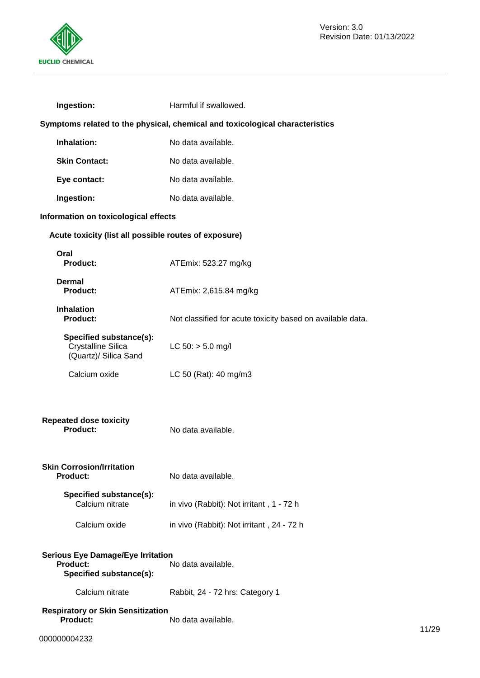

| Ingestion:                                                                             | Harmful if swallowed.                                      |  |
|----------------------------------------------------------------------------------------|------------------------------------------------------------|--|
| Symptoms related to the physical, chemical and toxicological characteristics           |                                                            |  |
| Inhalation:                                                                            | No data available.                                         |  |
| <b>Skin Contact:</b>                                                                   | No data available.                                         |  |
| Eye contact:                                                                           | No data available.                                         |  |
| Ingestion:                                                                             | No data available.                                         |  |
| Information on toxicological effects                                                   |                                                            |  |
| Acute toxicity (list all possible routes of exposure)                                  |                                                            |  |
| Oral<br><b>Product:</b>                                                                | ATEmix: 523.27 mg/kg                                       |  |
| Dermal<br>Product:                                                                     | ATEmix: 2,615.84 mg/kg                                     |  |
| <b>Inhalation</b><br>Product:                                                          | Not classified for acute toxicity based on available data. |  |
| Specified substance(s):<br><b>Crystalline Silica</b><br>(Quartz)/ Silica Sand          | $LC 50:$ > 5.0 mg/l                                        |  |
| Calcium oxide                                                                          | LC 50 (Rat): 40 mg/m3                                      |  |
| <b>Repeated dose toxicity</b><br><b>Product:</b>                                       | No data available.                                         |  |
| <b>Skin Corrosion/Irritation</b><br>Product:                                           | No data available.                                         |  |
| Specified substance(s):<br>Calcium nitrate                                             | in vivo (Rabbit): Not irritant, 1 - 72 h                   |  |
| Calcium oxide                                                                          | in vivo (Rabbit): Not irritant, 24 - 72 h                  |  |
| <b>Serious Eye Damage/Eye Irritation</b><br><b>Product:</b><br>Specified substance(s): | No data available.                                         |  |
| Calcium nitrate                                                                        | Rabbit, 24 - 72 hrs: Category 1                            |  |
| <b>Respiratory or Skin Sensitization</b>                                               |                                                            |  |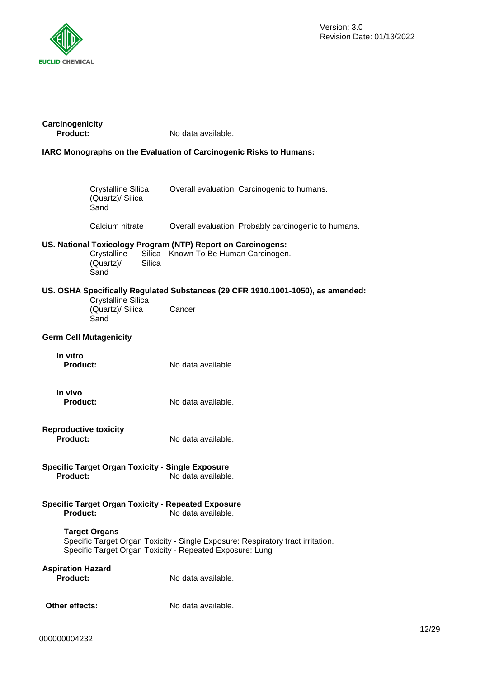

| Carcinogenicity<br>Product:                                                                                                                                         |                                                       | No data available.                                                                                   |
|---------------------------------------------------------------------------------------------------------------------------------------------------------------------|-------------------------------------------------------|------------------------------------------------------------------------------------------------------|
|                                                                                                                                                                     |                                                       | IARC Monographs on the Evaluation of Carcinogenic Risks to Humans:                                   |
|                                                                                                                                                                     |                                                       |                                                                                                      |
|                                                                                                                                                                     | <b>Crystalline Silica</b><br>(Quartz)/ Silica<br>Sand | Overall evaluation: Carcinogenic to humans.                                                          |
|                                                                                                                                                                     | Calcium nitrate                                       | Overall evaluation: Probably carcinogenic to humans.                                                 |
|                                                                                                                                                                     | Crystalline<br><b>Silica</b><br>(Quartz)/<br>Sand     | US. National Toxicology Program (NTP) Report on Carcinogens:<br>Silica Known To Be Human Carcinogen. |
|                                                                                                                                                                     | <b>Crystalline Silica</b>                             | US. OSHA Specifically Regulated Substances (29 CFR 1910.1001-1050), as amended:                      |
|                                                                                                                                                                     | (Quartz)/ Silica<br>Sand                              | Cancer                                                                                               |
|                                                                                                                                                                     | <b>Germ Cell Mutagenicity</b>                         |                                                                                                      |
| In vitro<br>Product:                                                                                                                                                |                                                       | No data available.                                                                                   |
| In vivo<br><b>Product:</b>                                                                                                                                          |                                                       | No data available.                                                                                   |
| <b>Reproductive toxicity</b><br>Product:                                                                                                                            |                                                       | No data available.                                                                                   |
| <b>Specific Target Organ Toxicity - Single Exposure</b><br><b>Product:</b><br>No data available.                                                                    |                                                       |                                                                                                      |
| Product:                                                                                                                                                            |                                                       | <b>Specific Target Organ Toxicity - Repeated Exposure</b><br>No data available.                      |
| <b>Target Organs</b><br>Specific Target Organ Toxicity - Single Exposure: Respiratory tract irritation.<br>Specific Target Organ Toxicity - Repeated Exposure: Lung |                                                       |                                                                                                      |
| <b>Aspiration Hazard</b><br><b>Product:</b>                                                                                                                         |                                                       | No data available.                                                                                   |
| Other effects:                                                                                                                                                      |                                                       | No data available.                                                                                   |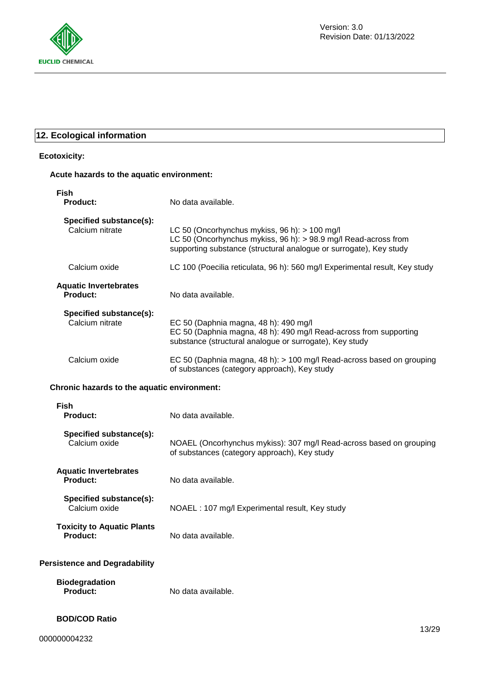

# **12. Ecological information**

## **Ecotoxicity:**

## **Acute hazards to the aquatic environment:**

| Fish<br><b>Product:</b>                    | No data available.                                                                                                                                                                     |
|--------------------------------------------|----------------------------------------------------------------------------------------------------------------------------------------------------------------------------------------|
| Specified substance(s):<br>Calcium nitrate | LC 50 (Oncorhynchus mykiss, 96 h): > 100 mg/l<br>LC 50 (Oncorhynchus mykiss, 96 h): > 98.9 mg/l Read-across from<br>supporting substance (structural analogue or surrogate), Key study |
| Calcium oxide                              | LC 100 (Poecilia reticulata, 96 h): 560 mg/l Experimental result, Key study                                                                                                            |
| <b>Aquatic Invertebrates</b><br>Product:   | No data available.                                                                                                                                                                     |
| Specified substance(s):<br>Calcium nitrate | EC 50 (Daphnia magna, 48 h): 490 mg/l<br>EC 50 (Daphnia magna, 48 h): 490 mg/l Read-across from supporting<br>substance (structural analogue or surrogate), Key study                  |
| Calcium oxide                              | EC 50 (Daphnia magna, 48 h): > 100 mg/l Read-across based on grouping<br>of substances (category approach), Key study                                                                  |

## **Chronic hazards to the aquatic environment:**

| <b>Fish</b><br><b>Product:</b>                       | No data available.                                                                                                  |
|------------------------------------------------------|---------------------------------------------------------------------------------------------------------------------|
| Specified substance(s):<br>Calcium oxide             | NOAEL (Oncorhynchus mykiss): 307 mg/l Read-across based on grouping<br>of substances (category approach), Key study |
| <b>Aquatic Invertebrates</b><br><b>Product:</b>      | No data available.                                                                                                  |
| Specified substance(s):<br>Calcium oxide             | NOAEL: 107 mg/l Experimental result, Key study                                                                      |
| <b>Toxicity to Aquatic Plants</b><br><b>Product:</b> | No data available.                                                                                                  |
| <b>Persistence and Degradability</b>                 |                                                                                                                     |
| <b>Biodegradation</b><br>Product:                    | No data available.                                                                                                  |
| <b>BOD/COD Ratio</b>                                 | 1000                                                                                                                |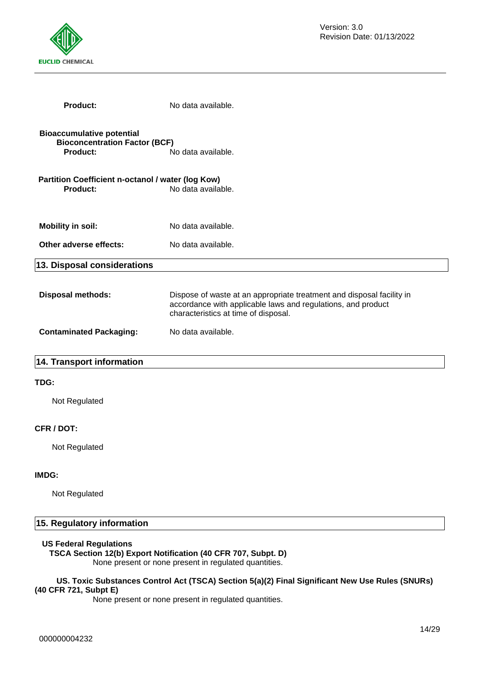

| <b>Product:</b>                                                                      | No data available.                                                                                                                                                            |
|--------------------------------------------------------------------------------------|-------------------------------------------------------------------------------------------------------------------------------------------------------------------------------|
| <b>Bioaccumulative potential</b><br><b>Bioconcentration Factor (BCF)</b><br>Product: | No data available.                                                                                                                                                            |
| Partition Coefficient n-octanol / water (log Kow)<br><b>Product:</b>                 | No data available.                                                                                                                                                            |
| <b>Mobility in soil:</b>                                                             | No data available.                                                                                                                                                            |
| Other adverse effects:                                                               | No data available.                                                                                                                                                            |
| 13. Disposal considerations                                                          |                                                                                                                                                                               |
| <b>Disposal methods:</b>                                                             | Dispose of waste at an appropriate treatment and disposal facility in<br>accordance with applicable laws and regulations, and product<br>characteristics at time of disposal. |
| <b>Contaminated Packaging:</b>                                                       | No data available.                                                                                                                                                            |
| 14. Transport information                                                            |                                                                                                                                                                               |
| TDG:                                                                                 |                                                                                                                                                                               |
| Not Regulated                                                                        |                                                                                                                                                                               |
|                                                                                      |                                                                                                                                                                               |

# **CFR / DOT:**

Not Regulated

#### **IMDG:**

Not Regulated

# **15. Regulatory information**

#### **US Federal Regulations**

**TSCA Section 12(b) Export Notification (40 CFR 707, Subpt. D)** None present or none present in regulated quantities.

#### **US. Toxic Substances Control Act (TSCA) Section 5(a)(2) Final Significant New Use Rules (SNURs) (40 CFR 721, Subpt E)**

None present or none present in regulated quantities.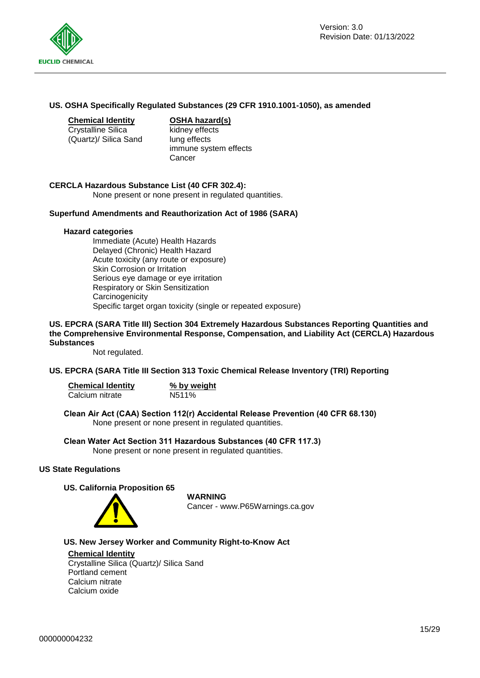

#### **US. OSHA Specifically Regulated Substances (29 CFR 1910.1001-1050), as amended**

Crystalline Silica (Quartz)/ Silica Sand

**Chemical Identity OSHA hazard(s)**

kidney effects lung effects immune system effects Cancer

#### **CERCLA Hazardous Substance List (40 CFR 302.4):**

None present or none present in regulated quantities.

#### **Superfund Amendments and Reauthorization Act of 1986 (SARA)**

#### **Hazard categories**

Immediate (Acute) Health Hazards Delayed (Chronic) Health Hazard Acute toxicity (any route or exposure) Skin Corrosion or Irritation Serious eye damage or eye irritation Respiratory or Skin Sensitization **Carcinogenicity** Specific target organ toxicity (single or repeated exposure)

#### **US. EPCRA (SARA Title III) Section 304 Extremely Hazardous Substances Reporting Quantities and the Comprehensive Environmental Response, Compensation, and Liability Act (CERCLA) Hazardous Substances**

Not regulated.

#### **US. EPCRA (SARA Title III Section 313 Toxic Chemical Release Inventory (TRI) Reporting**

**Chemical Identity**<br>Calcium nitrate<br>N511% Calcium nitrate

**Clean Air Act (CAA) Section 112(r) Accidental Release Prevention (40 CFR 68.130)** None present or none present in regulated quantities.

#### **Clean Water Act Section 311 Hazardous Substances (40 CFR 117.3)** None present or none present in regulated quantities.

#### **US State Regulations**

#### **US. California Proposition 65**



**WARNING**

Cancer - www.P65Warnings.ca.gov

#### **US. New Jersey Worker and Community Right-to-Know Act**

#### **Chemical Identity**

Crystalline Silica (Quartz)/ Silica Sand Portland cement Calcium nitrate Calcium oxide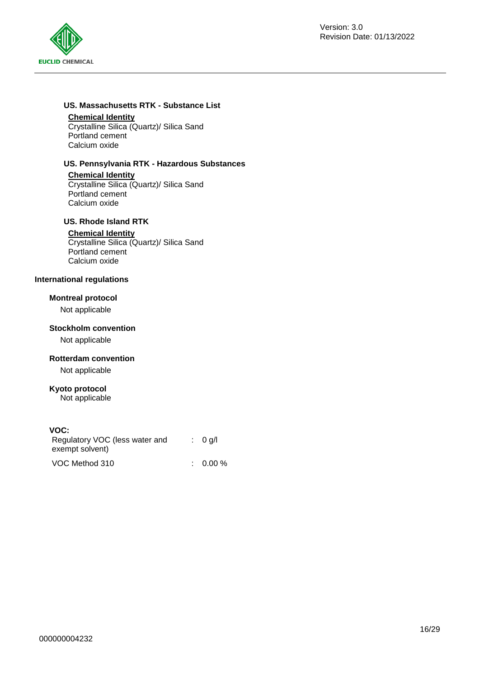

# **US. Massachusetts RTK - Substance List**

#### **Chemical Identity**

Crystalline Silica (Quartz)/ Silica Sand Portland cement Calcium oxide

## **US. Pennsylvania RTK - Hazardous Substances**

#### **Chemical Identity**

Crystalline Silica (Quartz)/ Silica Sand Portland cement Calcium oxide

## **US. Rhode Island RTK**

#### **Chemical Identity**

Crystalline Silica (Quartz)/ Silica Sand Portland cement Calcium oxide

## **International regulations**

## **Montreal protocol**

Not applicable

#### **Stockholm convention**

Not applicable

## **Rotterdam convention**

Not applicable

#### **Kyoto protocol**

Not applicable

## **VOC:**

| Regulatory VOC (less water and<br>exempt solvent) | : 0 q/l             |
|---------------------------------------------------|---------------------|
| VOC Method 310                                    | $\therefore$ 0.00 % |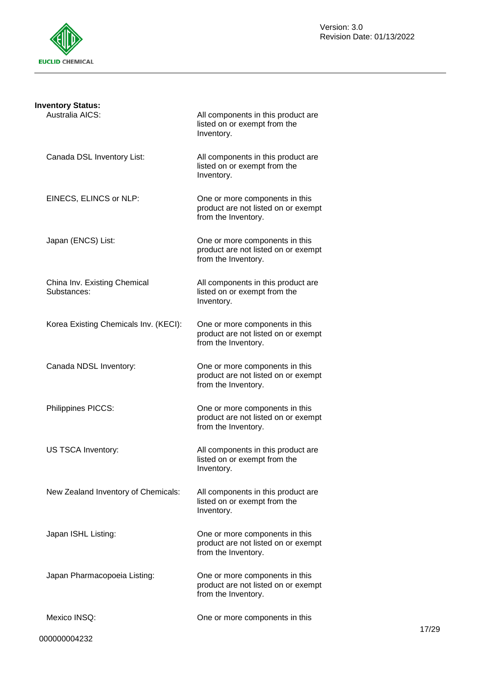

| <b>Inventory Status:</b>                    |                                                                                              |
|---------------------------------------------|----------------------------------------------------------------------------------------------|
| Australia AICS:                             | All components in this product are<br>listed on or exempt from the<br>Inventory.             |
| Canada DSL Inventory List:                  | All components in this product are<br>listed on or exempt from the<br>Inventory.             |
| EINECS, ELINCS or NLP:                      | One or more components in this<br>product are not listed on or exempt<br>from the Inventory. |
| Japan (ENCS) List:                          | One or more components in this<br>product are not listed on or exempt<br>from the Inventory. |
| China Inv. Existing Chemical<br>Substances: | All components in this product are<br>listed on or exempt from the<br>Inventory.             |
| Korea Existing Chemicals Inv. (KECI):       | One or more components in this<br>product are not listed on or exempt<br>from the Inventory. |
| Canada NDSL Inventory:                      | One or more components in this<br>product are not listed on or exempt<br>from the Inventory. |
| Philippines PICCS:                          | One or more components in this<br>product are not listed on or exempt<br>from the Inventory. |
| US TSCA Inventory:                          | All components in this product are<br>listed on or exempt from the<br>Inventory.             |
| New Zealand Inventory of Chemicals:         | All components in this product are<br>listed on or exempt from the<br>Inventory.             |
| Japan ISHL Listing:                         | One or more components in this<br>product are not listed on or exempt<br>from the Inventory. |
| Japan Pharmacopoeia Listing:                | One or more components in this<br>product are not listed on or exempt<br>from the Inventory. |
| Mexico INSQ:                                | One or more components in this                                                               |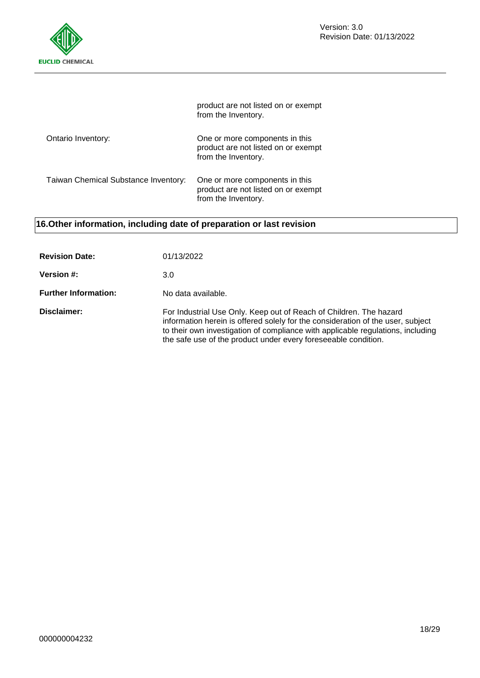

|                                      | product are not listed on or exempt<br>from the Inventory.                                   |
|--------------------------------------|----------------------------------------------------------------------------------------------|
| Ontario Inventory:                   | One or more components in this<br>product are not listed on or exempt<br>from the Inventory. |
| Taiwan Chemical Substance Inventory: | One or more components in this<br>product are not listed on or exempt<br>from the Inventory. |

# **16.Other information, including date of preparation or last revision**

| <b>Revision Date:</b>       | 01/13/2022                                                                                                                                                                                                                                                                                                 |
|-----------------------------|------------------------------------------------------------------------------------------------------------------------------------------------------------------------------------------------------------------------------------------------------------------------------------------------------------|
| <b>Version #:</b>           | 3.0                                                                                                                                                                                                                                                                                                        |
| <b>Further Information:</b> | No data available.                                                                                                                                                                                                                                                                                         |
| Disclaimer:                 | For Industrial Use Only. Keep out of Reach of Children. The hazard<br>information herein is offered solely for the consideration of the user, subject<br>to their own investigation of compliance with applicable regulations, including<br>the safe use of the product under every foreseeable condition. |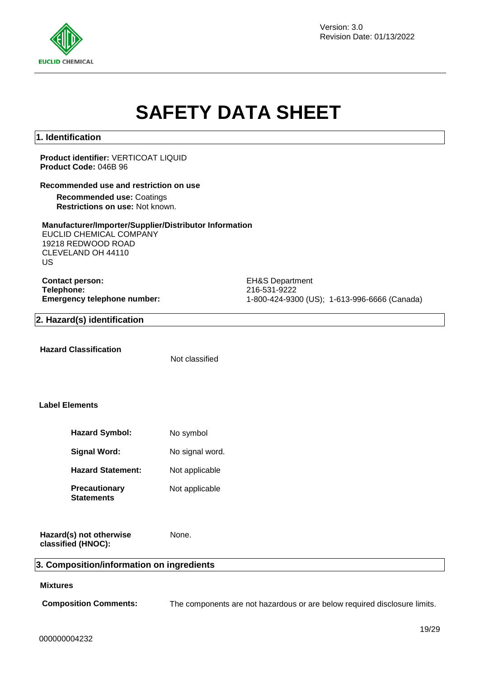

Version: 3.0 Revision Date: 01/13/2022

# **SAFETY DATA SHEET**

# **1. Identification**

#### **Product identifier:** VERTICOAT LIQUID **Product Code:** 046B 96

#### **Recommended use and restriction on use**

**Recommended use:** Coatings **Restrictions on use:** Not known.

#### **Manufacturer/Importer/Supplier/Distributor Information**

EUCLID CHEMICAL COMPANY 19218 REDWOOD ROAD CLEVELAND OH 44110 US

**Contact person:** EH&S Department **Telephone:** 216-531-9222

**Emergency telephone number:** 1-800-424-9300 (US); 1-613-996-6666 (Canada)

#### **2. Hazard(s) identification**

**Hazard Classification**

Not classified

## **Label Elements**

| <b>Hazard Symbol:</b>       | No symbol       |
|-----------------------------|-----------------|
| Signal Word:                | No signal word. |
| <b>Hazard Statement:</b>    | Not applicable  |
| Precautionary<br>Statements | Not applicable  |

None.

**Hazard(s) not otherwise classified (HNOC):**

#### **3. Composition/information on ingredients**

## **Mixtures**

**Composition Comments:** The components are not hazardous or are below required disclosure limits.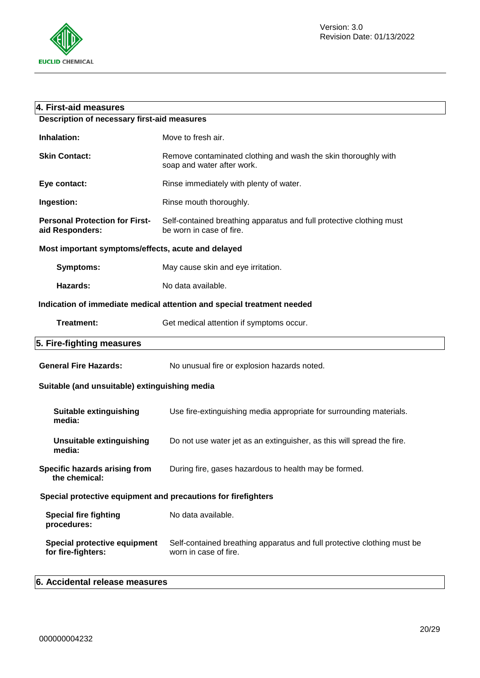

| 4. First-aid measures                                         |                                                                                                  |
|---------------------------------------------------------------|--------------------------------------------------------------------------------------------------|
| <b>Description of necessary first-aid measures</b>            |                                                                                                  |
| Inhalation:                                                   | Move to fresh air.                                                                               |
| <b>Skin Contact:</b>                                          | Remove contaminated clothing and wash the skin thoroughly with<br>soap and water after work.     |
| Eye contact:                                                  | Rinse immediately with plenty of water.                                                          |
| Ingestion:                                                    | Rinse mouth thoroughly.                                                                          |
| <b>Personal Protection for First-</b><br>aid Responders:      | Self-contained breathing apparatus and full protective clothing must<br>be worn in case of fire. |
| Most important symptoms/effects, acute and delayed            |                                                                                                  |
| <b>Symptoms:</b>                                              | May cause skin and eye irritation.                                                               |
| Hazards:                                                      | No data available.                                                                               |
|                                                               | Indication of immediate medical attention and special treatment needed                           |
| <b>Treatment:</b>                                             | Get medical attention if symptoms occur.                                                         |
| 5. Fire-fighting measures                                     |                                                                                                  |
| <b>General Fire Hazards:</b>                                  | No unusual fire or explosion hazards noted.                                                      |
| Suitable (and unsuitable) extinguishing media                 |                                                                                                  |
| <b>Suitable extinguishing</b><br>media:                       | Use fire-extinguishing media appropriate for surrounding materials.                              |
| <b>Unsuitable extinguishing</b><br>media:                     | Do not use water jet as an extinguisher, as this will spread the fire.                           |
| Specific hazards arising from<br>the chemical:                | During fire, gases hazardous to health may be formed.                                            |
| Special protective equipment and precautions for firefighters |                                                                                                  |
| <b>Special fire fighting</b><br>procedures:                   | No data available.                                                                               |
| <b>Special protective equipment</b><br>for fire-fighters:     | Self-contained breathing apparatus and full protective clothing must be<br>worn in case of fire. |
|                                                               |                                                                                                  |

# **6. Accidental release measures**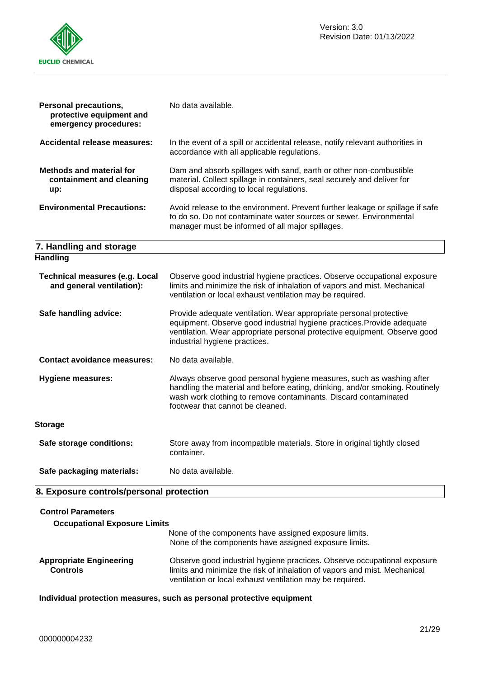

| <b>Personal precautions,</b><br>protective equipment and<br>emergency procedures: | No data available.                                                                                                                                                                                                                                          |
|-----------------------------------------------------------------------------------|-------------------------------------------------------------------------------------------------------------------------------------------------------------------------------------------------------------------------------------------------------------|
| Accidental release measures:                                                      | In the event of a spill or accidental release, notify relevant authorities in<br>accordance with all applicable regulations.                                                                                                                                |
| <b>Methods and material for</b><br>containment and cleaning<br>up:                | Dam and absorb spillages with sand, earth or other non-combustible<br>material. Collect spillage in containers, seal securely and deliver for<br>disposal according to local regulations.                                                                   |
| <b>Environmental Precautions:</b>                                                 | Avoid release to the environment. Prevent further leakage or spillage if safe<br>to do so. Do not contaminate water sources or sewer. Environmental<br>manager must be informed of all major spillages.                                                     |
| 7. Handling and storage                                                           |                                                                                                                                                                                                                                                             |
| <b>Handling</b>                                                                   |                                                                                                                                                                                                                                                             |
| <b>Technical measures (e.g. Local</b><br>and general ventilation):                | Observe good industrial hygiene practices. Observe occupational exposure<br>limits and minimize the risk of inhalation of vapors and mist. Mechanical<br>ventilation or local exhaust ventilation may be required.                                          |
| Safe handling advice:                                                             | Provide adequate ventilation. Wear appropriate personal protective<br>equipment. Observe good industrial hygiene practices. Provide adequate<br>ventilation. Wear appropriate personal protective equipment. Observe good<br>industrial hygiene practices.  |
| <b>Contact avoidance measures:</b>                                                | No data available.                                                                                                                                                                                                                                          |
| <b>Hygiene measures:</b>                                                          | Always observe good personal hygiene measures, such as washing after<br>handling the material and before eating, drinking, and/or smoking. Routinely<br>wash work clothing to remove contaminants. Discard contaminated<br>footwear that cannot be cleaned. |
| <b>Storage</b>                                                                    |                                                                                                                                                                                                                                                             |
| Safe storage conditions:                                                          | Store away from incompatible materials. Store in original tightly closed<br>container.                                                                                                                                                                      |
| Safe packaging materials:                                                         | No data available.                                                                                                                                                                                                                                          |

# **8. Exposure controls/personal protection**

| <b>Control Parameters</b><br><b>Occupational Exposure Limits</b> |                                                                                                                                                                                                                    |
|------------------------------------------------------------------|--------------------------------------------------------------------------------------------------------------------------------------------------------------------------------------------------------------------|
|                                                                  | None of the components have assigned exposure limits.<br>None of the components have assigned exposure limits.                                                                                                     |
| <b>Appropriate Engineering</b><br><b>Controls</b>                | Observe good industrial hygiene practices. Observe occupational exposure<br>limits and minimize the risk of inhalation of vapors and mist. Mechanical<br>ventilation or local exhaust ventilation may be required. |

**Individual protection measures, such as personal protective equipment**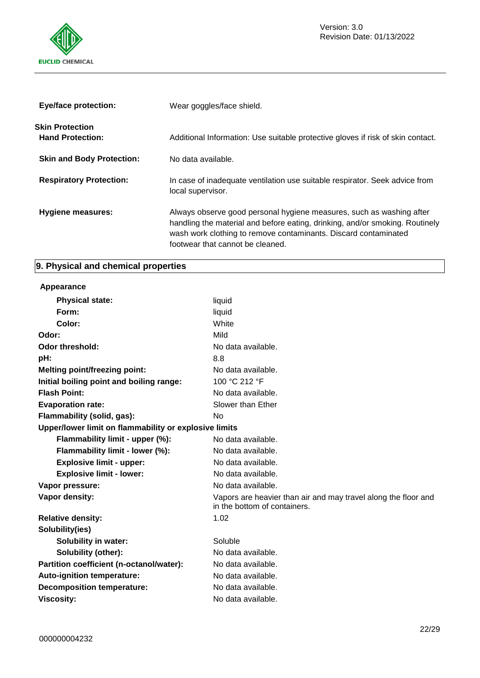

| <b>Eye/face protection:</b>                       | Wear goggles/face shield.                                                                                                                                                                                                                                   |
|---------------------------------------------------|-------------------------------------------------------------------------------------------------------------------------------------------------------------------------------------------------------------------------------------------------------------|
| <b>Skin Protection</b><br><b>Hand Protection:</b> | Additional Information: Use suitable protective gloves if risk of skin contact.                                                                                                                                                                             |
| <b>Skin and Body Protection:</b>                  | No data available.                                                                                                                                                                                                                                          |
| <b>Respiratory Protection:</b>                    | In case of inadequate ventilation use suitable respirator. Seek advice from<br>local supervisor.                                                                                                                                                            |
| Hygiene measures:                                 | Always observe good personal hygiene measures, such as washing after<br>handling the material and before eating, drinking, and/or smoking. Routinely<br>wash work clothing to remove contaminants. Discard contaminated<br>footwear that cannot be cleaned. |

# **9. Physical and chemical properties**

# **Appearance**

| <b>Physical state:</b>                                | liquid                                                                                         |
|-------------------------------------------------------|------------------------------------------------------------------------------------------------|
| Form:                                                 | liquid                                                                                         |
| Color:                                                | White                                                                                          |
| Odor:                                                 | Mild                                                                                           |
| <b>Odor threshold:</b>                                | No data available.                                                                             |
| pH:                                                   | 8.8                                                                                            |
| <b>Melting point/freezing point:</b>                  | No data available.                                                                             |
| Initial boiling point and boiling range:              | 100 °C 212 °F                                                                                  |
| <b>Flash Point:</b>                                   | No data available.                                                                             |
| <b>Evaporation rate:</b>                              | Slower than Ether                                                                              |
| Flammability (solid, gas):                            | No                                                                                             |
| Upper/lower limit on flammability or explosive limits |                                                                                                |
| Flammability limit - upper (%):                       | No data available.                                                                             |
| Flammability limit - lower (%):                       | No data available.                                                                             |
| <b>Explosive limit - upper:</b>                       | No data available.                                                                             |
| <b>Explosive limit - lower:</b>                       | No data available.                                                                             |
| Vapor pressure:                                       | No data available.                                                                             |
| Vapor density:                                        | Vapors are heavier than air and may travel along the floor and<br>in the bottom of containers. |
| <b>Relative density:</b>                              | 1.02                                                                                           |
| Solubility(ies)                                       |                                                                                                |
| <b>Solubility in water:</b>                           | Soluble                                                                                        |
| <b>Solubility (other):</b>                            | No data available.                                                                             |
| Partition coefficient (n-octanol/water):              | No data available.                                                                             |
| Auto-ignition temperature:                            | No data available.                                                                             |
| <b>Decomposition temperature:</b>                     | No data available.                                                                             |
| <b>Viscosity:</b>                                     | No data available.                                                                             |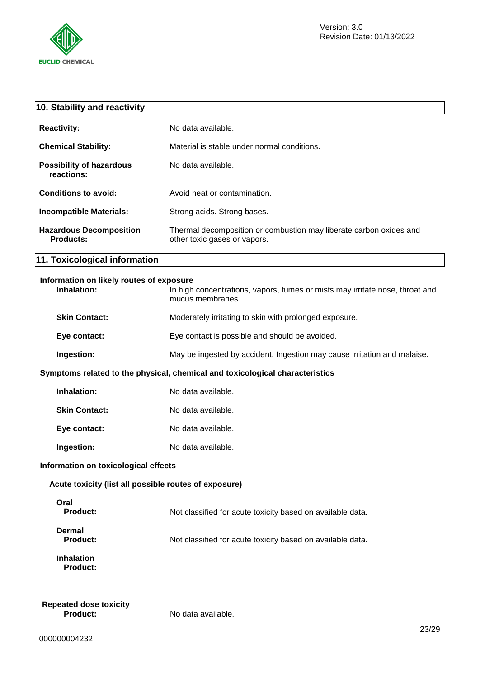

| 10. Stability and reactivity                                                 |                                                                                                    |
|------------------------------------------------------------------------------|----------------------------------------------------------------------------------------------------|
| <b>Reactivity:</b>                                                           | No data available.                                                                                 |
| <b>Chemical Stability:</b>                                                   | Material is stable under normal conditions.                                                        |
| <b>Possibility of hazardous</b><br>reactions:                                | No data available.                                                                                 |
| <b>Conditions to avoid:</b>                                                  | Avoid heat or contamination.                                                                       |
| <b>Incompatible Materials:</b>                                               | Strong acids. Strong bases.                                                                        |
| <b>Hazardous Decomposition</b><br><b>Products:</b>                           | Thermal decomposition or combustion may liberate carbon oxides and<br>other toxic gases or vapors. |
| 11. Toxicological information                                                |                                                                                                    |
| Information on likely routes of exposure<br>Inhalation:                      | In high concentrations, vapors, fumes or mists may irritate nose, throat and<br>mucus membranes.   |
| <b>Skin Contact:</b>                                                         | Moderately irritating to skin with prolonged exposure.                                             |
| Eye contact:                                                                 | Eye contact is possible and should be avoided.                                                     |
| Ingestion:                                                                   | May be ingested by accident. Ingestion may cause irritation and malaise.                           |
| Symptoms related to the physical, chemical and toxicological characteristics |                                                                                                    |
| Inhalation:                                                                  | No data available.                                                                                 |
| <b>Skin Contact:</b>                                                         | No data available.                                                                                 |
| Eye contact:                                                                 | No data available.                                                                                 |
| Ingestion:                                                                   | No data available.                                                                                 |
| Information on toxicological effects                                         |                                                                                                    |
| Acute toxicity (list all possible routes of exposure)                        |                                                                                                    |
| Oral<br><b>Product:</b>                                                      | Not classified for acute toxicity based on available data.                                         |
| <b>Dermal</b><br><b>Product:</b>                                             | Not classified for acute toxicity based on available data.                                         |

No data available.

**Inhalation Product:**

**Repeated dose toxicity**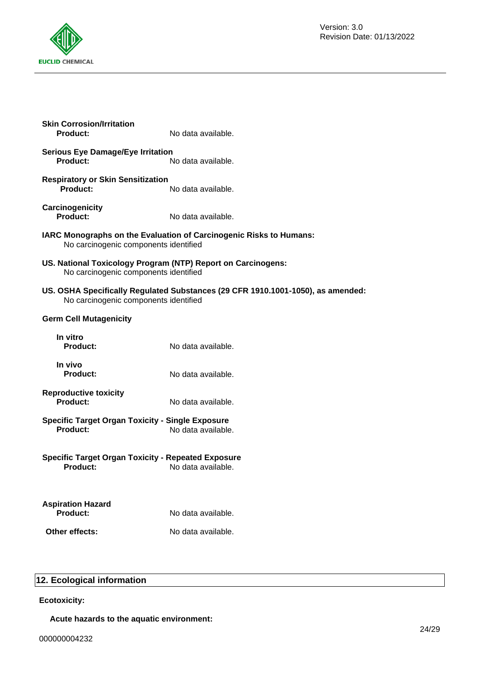

| <b>Skin Corrosion/Irritation</b><br><b>Product:</b>                                                   | No data available.                                                              |
|-------------------------------------------------------------------------------------------------------|---------------------------------------------------------------------------------|
| <b>Serious Eye Damage/Eye Irritation</b><br>Product:                                                  | No data available.                                                              |
| <b>Respiratory or Skin Sensitization</b><br><b>Product:</b>                                           | No data available.                                                              |
| Carcinogenicity<br><b>Product:</b>                                                                    | No data available.                                                              |
| No carcinogenic components identified                                                                 | IARC Monographs on the Evaluation of Carcinogenic Risks to Humans:              |
| US. National Toxicology Program (NTP) Report on Carcinogens:<br>No carcinogenic components identified |                                                                                 |
| No carcinogenic components identified                                                                 | US. OSHA Specifically Regulated Substances (29 CFR 1910.1001-1050), as amended: |
| <b>Germ Cell Mutagenicity</b>                                                                         |                                                                                 |
| In vitro<br><b>Product:</b>                                                                           | No data available.                                                              |
| In vivo<br><b>Product:</b>                                                                            | No data available.                                                              |
| <b>Reproductive toxicity</b><br><b>Product:</b>                                                       | No data available.                                                              |
| <b>Specific Target Organ Toxicity - Single Exposure</b><br><b>Product:</b>                            | No data available.                                                              |
| <b>Specific Target Organ Toxicity - Repeated Exposure</b><br><b>Product:</b>                          | No data available.                                                              |
| <b>Aspiration Hazard</b><br>Product:                                                                  | No data available.                                                              |
| Other effects:                                                                                        | No data available.                                                              |
|                                                                                                       |                                                                                 |

# **12. Ecological information**

# **Ecotoxicity:**

**Acute hazards to the aquatic environment:**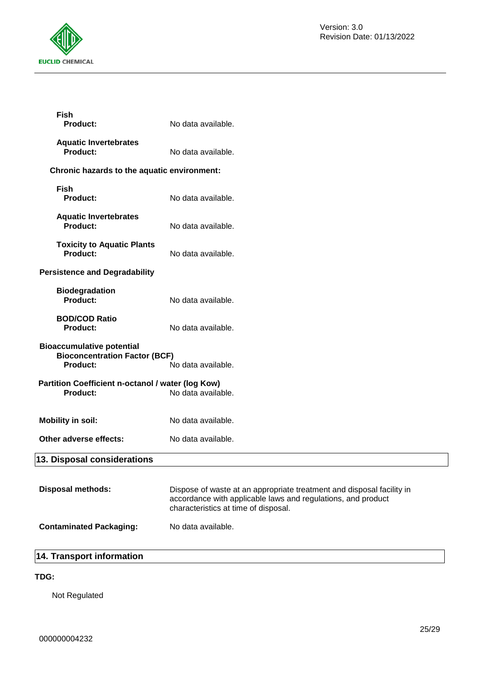

| <b>Fish</b><br>Product:                                                                     | No data available.                                                                                                                                                            |
|---------------------------------------------------------------------------------------------|-------------------------------------------------------------------------------------------------------------------------------------------------------------------------------|
| <b>Aquatic Invertebrates</b><br><b>Product:</b>                                             | No data available.                                                                                                                                                            |
| Chronic hazards to the aquatic environment:                                                 |                                                                                                                                                                               |
| <b>Fish</b><br>Product:                                                                     | No data available.                                                                                                                                                            |
| <b>Aquatic Invertebrates</b><br><b>Product:</b>                                             | No data available.                                                                                                                                                            |
| <b>Toxicity to Aquatic Plants</b><br><b>Product:</b>                                        | No data available.                                                                                                                                                            |
| <b>Persistence and Degradability</b>                                                        |                                                                                                                                                                               |
| <b>Biodegradation</b><br>Product:                                                           | No data available.                                                                                                                                                            |
| <b>BOD/COD Ratio</b><br><b>Product:</b>                                                     | No data available.                                                                                                                                                            |
| <b>Bioaccumulative potential</b><br><b>Bioconcentration Factor (BCF)</b><br><b>Product:</b> | No data available.                                                                                                                                                            |
| Partition Coefficient n-octanol / water (log Kow)                                           |                                                                                                                                                                               |
| Product:                                                                                    | No data available.                                                                                                                                                            |
| <b>Mobility in soil:</b>                                                                    | No data available.                                                                                                                                                            |
| Other adverse effects:                                                                      | No data available.                                                                                                                                                            |
| 13. Disposal considerations                                                                 |                                                                                                                                                                               |
| <b>Disposal methods:</b>                                                                    | Dispose of waste at an appropriate treatment and disposal facility in<br>accordance with applicable laws and regulations, and product<br>characteristics at time of disposal. |

# **Contaminated Packaging:** No data available.

# **14. Transport information**

## **TDG:**

Not Regulated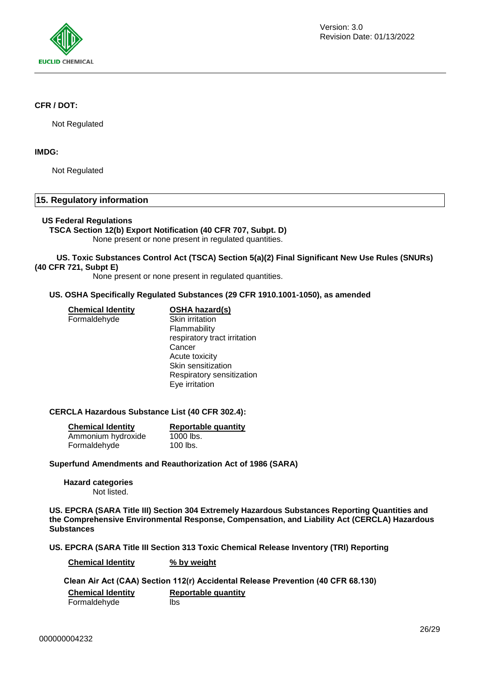

#### **CFR / DOT:**

Not Regulated

### **IMDG:**

Not Regulated

## **15. Regulatory information**

#### **US Federal Regulations**

#### **TSCA Section 12(b) Export Notification (40 CFR 707, Subpt. D)**

None present or none present in regulated quantities.

#### **US. Toxic Substances Control Act (TSCA) Section 5(a)(2) Final Significant New Use Rules (SNURs) (40 CFR 721, Subpt E)**

None present or none present in regulated quantities.

## **US. OSHA Specifically Regulated Substances (29 CFR 1910.1001-1050), as amended**

**Chemical Identity OSHA hazard(s)** Formaldehyde Skin irritation

Flammability respiratory tract irritation **Cancer** Acute toxicity Skin sensitization Respiratory sensitization Eye irritation

#### **CERCLA Hazardous Substance List (40 CFR 302.4):**

| <b>Chemical Identity</b> | <b>Reportable quantity</b> |
|--------------------------|----------------------------|
| Ammonium hydroxide       | $1000$ lbs.                |
| Formaldehyde             | $100$ lbs.                 |

#### **Superfund Amendments and Reauthorization Act of 1986 (SARA)**

**Hazard categories** Not listed.

**US. EPCRA (SARA Title III) Section 304 Extremely Hazardous Substances Reporting Quantities and the Comprehensive Environmental Response, Compensation, and Liability Act (CERCLA) Hazardous Substances**

## **US. EPCRA (SARA Title III Section 313 Toxic Chemical Release Inventory (TRI) Reporting**

**Chemical Identity % by weight**

**Clean Air Act (CAA) Section 112(r) Accidental Release Prevention (40 CFR 68.130) Chemical Identity Reportable quantity** Formaldehyde lbs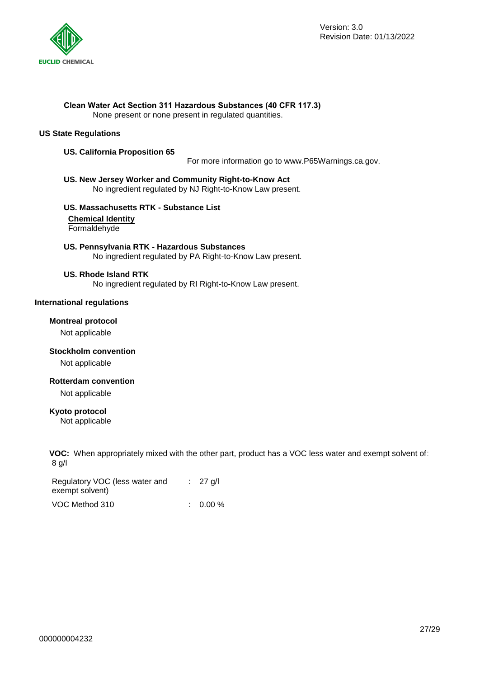

#### **Clean Water Act Section 311 Hazardous Substances (40 CFR 117.3)**

None present or none present in regulated quantities.

#### **US State Regulations**

#### **US. California Proposition 65**

For more information go to www.P65Warnings.ca.gov.

#### **US. New Jersey Worker and Community Right-to-Know Act** No ingredient regulated by NJ Right-to-Know Law present.

## **US. Massachusetts RTK - Substance List**

**Chemical Identity**

Formaldehyde

**US. Pennsylvania RTK - Hazardous Substances** No ingredient regulated by PA Right-to-Know Law present.

#### **US. Rhode Island RTK**

No ingredient regulated by RI Right-to-Know Law present.

#### **International regulations**

#### **Montreal protocol**

Not applicable

#### **Stockholm convention**

Not applicable

#### **Rotterdam convention**

Not applicable

#### **Kyoto protocol**

Not applicable

**VOC:** When appropriately mixed with the other part, product has a VOC less water and exempt solvent of: 8 g/l

| Regulatory VOC (less water and | $\therefore$ 27 g/l |
|--------------------------------|---------------------|
| exempt solvent)                |                     |
| VOC Method 310                 | $: 0.00 \%$         |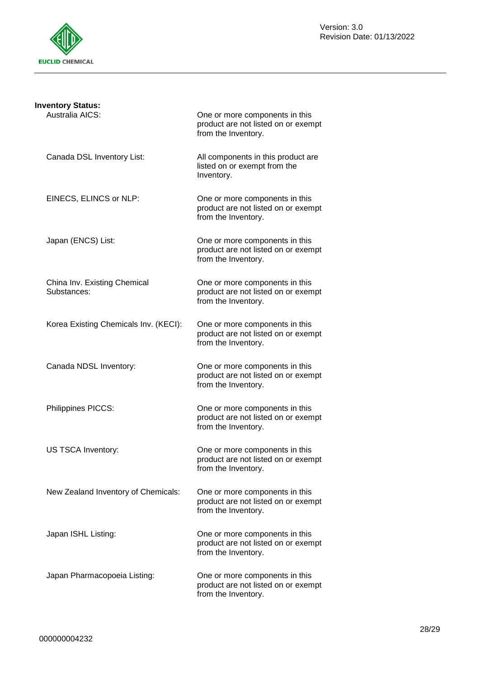

| <b>Inventory Status:</b>                    |                                                                                              |
|---------------------------------------------|----------------------------------------------------------------------------------------------|
| Australia AICS:                             | One or more components in this<br>product are not listed on or exempt<br>from the Inventory. |
| Canada DSL Inventory List:                  | All components in this product are<br>listed on or exempt from the<br>Inventory.             |
| EINECS, ELINCS or NLP:                      | One or more components in this<br>product are not listed on or exempt<br>from the Inventory. |
| Japan (ENCS) List:                          | One or more components in this<br>product are not listed on or exempt<br>from the Inventory. |
| China Inv. Existing Chemical<br>Substances: | One or more components in this<br>product are not listed on or exempt<br>from the Inventory. |
| Korea Existing Chemicals Inv. (KECI):       | One or more components in this<br>product are not listed on or exempt<br>from the Inventory. |
| Canada NDSL Inventory:                      | One or more components in this<br>product are not listed on or exempt<br>from the Inventory. |
| Philippines PICCS:                          | One or more components in this<br>product are not listed on or exempt<br>from the Inventory. |
| US TSCA Inventory:                          | One or more components in this<br>product are not listed on or exempt<br>from the Inventory. |
| New Zealand Inventory of Chemicals:         | One or more components in this<br>product are not listed on or exempt<br>from the Inventory. |
| Japan ISHL Listing:                         | One or more components in this<br>product are not listed on or exempt<br>from the Inventory. |
| Japan Pharmacopoeia Listing:                | One or more components in this<br>product are not listed on or exempt<br>from the Inventory. |